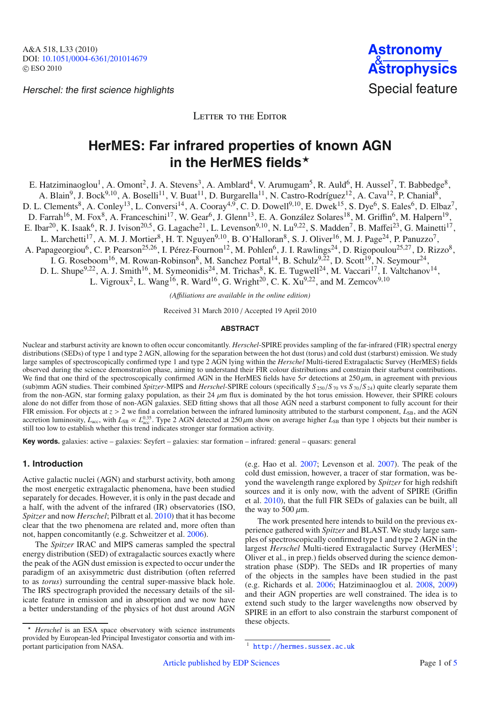Herschel: the first science highlights Special feature



LETTER TO THE EDITOR

# **HerMES: Far infrared properties of known AGN** in the HerMES fields<sup>\*</sup>

E. Hatziminaoglou<sup>1</sup>, A. Omont<sup>2</sup>, J. A. Stevens<sup>3</sup>, A. Amblard<sup>4</sup>, V. Arumugam<sup>5</sup>, R. Auld<sup>6</sup>, H. Aussel<sup>7</sup>, T. Babbedge<sup>8</sup>,

A. Blain<sup>9</sup>, J. Bock<sup>9,10</sup>, A. Boselli<sup>11</sup>, V. Buat<sup>11</sup>, D. Burgarella<sup>11</sup>, N. Castro-Rodríguez<sup>12</sup>, A. Cava<sup>12</sup>, P. Chanial<sup>8</sup>,

D. L. Clements<sup>8</sup>, A. Conley<sup>13</sup>, L. Conversi<sup>14</sup>, A. Cooray<sup>4,9</sup>, C. D. Dowell<sup>9,10</sup>, E. Dwek<sup>15</sup>, S. Dye<sup>6</sup>, S. Eales<sup>6</sup>, D. Elbaz<sup>7</sup>,

D. Farrah<sup>16</sup>, M. Fox<sup>8</sup>, A. Franceschini<sup>17</sup>, W. Gear<sup>6</sup>, J. Glenn<sup>13</sup>, E. A. González Solares<sup>18</sup>, M. Griffin<sup>6</sup>, M. Halpern<sup>19</sup>,

E. Ibar<sup>20</sup>, K. Isaak<sup>6</sup>, R. J. Ivison<sup>20,5</sup>, G. Lagache<sup>21</sup>, L. Levenson<sup>9,10</sup>, N. Lu<sup>9,22</sup>, S. Madden<sup>7</sup>, B. Maffei<sup>23</sup>, G. Mainetti<sup>17</sup>,

L. Marchetti<sup>17</sup>, A. M. J. Mortier<sup>8</sup>, H. T. Nguyen<sup>9,10</sup>, B. O'Halloran<sup>8</sup>, S. J. Oliver<sup>16</sup>, M. J. Page<sup>24</sup>, P. Panuzzo<sup>7</sup>,

A. Papageorgiou<sup>6</sup>, C. P. Pearson<sup>25,26</sup>, I. Pérez-Fournon<sup>12</sup>, M. Pohlen<sup>6</sup>, J. I. Rawlings<sup>24</sup>, D. Rigopoulou<sup>25,27</sup>, D. Rizzo<sup>8</sup>,

I. G. Roseboom<sup>16</sup>, M. Rowan-Robinson<sup>8</sup>, M. Sanchez Portal<sup>14</sup>, B. Schulz<sup>9,22</sup>, D. Scott<sup>19</sup>, N. Seymour<sup>24</sup>,

D. L. Shupe<sup>9,22</sup>, A. J. Smith<sup>16</sup>, M. Symeonidis<sup>24</sup>, M. Trichas<sup>8</sup>, K. E. Tugwell<sup>24</sup>, M. Vaccari<sup>17</sup>, I. Valtchanov<sup>14</sup>,

L. Vigroux<sup>2</sup>, L. Wang<sup>16</sup>, R. Ward<sup>16</sup>, G. Wright<sup>20</sup>, C. K. Xu<sup>9,22</sup>, and M. Zemcov<sup>9,10</sup>

*(A*ffi*liations are available in the online edition)*

Received 31 March 2010 / Accepted 19 April 2010

#### **ABSTRACT**

Nuclear and starburst activity are known to often occur concomitantly. *Herschel*-SPIRE provides sampling of the far-infrared (FIR) spectral energy distributions (SEDs) of type 1 and type 2 AGN, allowing for the separation between the hot dust (torus) and cold dust (starburst) emission. We study large samples of spectroscopically confirmed type 1 and type 2 AGN lying within the *Herschel* Multi-tiered Extragalactic Survey (HerMES) fields observed during the science demonstration phase, aiming to understand their FIR colour distributions and constrain their starburst contributions. We find that one third of the spectroscopically confirmed AGN in the HerMES fields have  $5\sigma$  detections at 250  $\mu$ m, in agreement with previous (sub)mm AGN studies. Their combined *Spitzer*-MIPS and *Herschel*-SPIRE colours (specifically *<sup>S</sup>* <sup>250</sup>/*<sup>S</sup>* <sup>70</sup> vs *<sup>S</sup>* <sup>70</sup>/*<sup>S</sup>* 24) quite clearly separate them from the non-AGN, star forming galaxy population, as their  $24 \mu m$  flux is dominated by the hot torus emission. However, their SPIRE colours alone do not differ from those of non-AGN galaxies. SED fitting shows that all those AGN need a starburst component to fully account for their FIR emission. For objects at  $z > 2$  we find a correlation between the infrared luminosity attributed to the starburst component,  $L_{SB}$ , and the AGN accretion luminosity,  $L_{acc}$ , with  $L_{SB} \propto L_{acc}^{0.35}$ . Type 2 AGN detec

**Key words.** galaxies: active – galaxies: Seyfert – galaxies: star formation – infrared: general – quasars: general

# **1. Introduction**

Active galactic nuclei (AGN) and starburst activity, both among the most energetic extragalactic phenomena, have been studied separately for decades. However, it is only in the past decade and a half, with the advent of the infrared (IR) observatories (ISO, *Spitzer* and now *Herschel*; Pilbratt et al. [2010\)](#page-3-0) that it has become clear that the two phenomena are related and, more often than not, happen concomitantly (e.g. Schweitzer et al. [2006\)](#page-3-1).

The *Spitzer* IRAC and MIPS cameras sampled the spectral energy distribution (SED) of extragalactic sources exactly where the peak of the AGN dust emission is expected to occur under the paradigm of an axisymmetric dust distribution (often referred to as *torus*) surrounding the central super-massive black hole. The IRS spectrograph provided the necessary details of the silicate feature in emission and in absorption and we now have a better understanding of the physics of hot dust around AGN

 *Herschel* is an ESA space observatory with science instruments provided by European-led Principal Investigator consortia and with important participation from NASA.

(e.g. Hao et al. [2007;](#page-3-2) Levenson et al. [2007\)](#page-3-3). The peak of the cold dust emission, however, a tracer of star formation, was beyond the wavelength range explored by *Spitzer* for high redshift sources and it is only now, with the advent of SPIRE (Griffin et al. [2010\)](#page-3-4), that the full FIR SEDs of galaxies can be built, all the way to 500  $\mu$ m.

<span id="page-0-0"></span>The work presented here intends to build on the previous experience gathered with *Spitzer* and BLAST. We study large samples of spectroscopically confirmed type 1 and type 2 AGN in the largest *Herschel* Multi-tiered Extragalactic Survey (HerMES<sup>1</sup>; Oliver et al., in prep.) fields observed during the science demonstration phase (SDP). The SEDs and IR properties of many of the objects in the samples have been studied in the past (e.g. Richards et al. [2006;](#page-3-5) Hatziminaoglou et al. [2008,](#page-3-6) [2009\)](#page-3-7) and their AGN properties are well constrained. The idea is to extend such study to the larger wavelengths now observed by SPIRE in an effort to also constrain the starburst component of these objects.

<sup>1</sup> <http://hermes.sussex.ac.uk>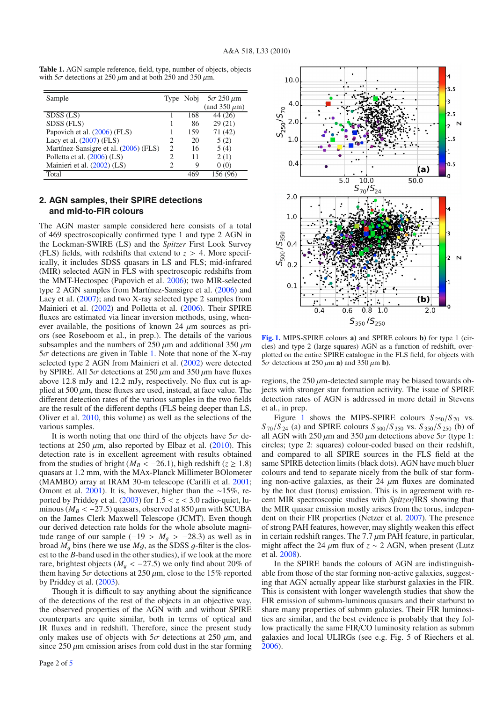<span id="page-1-0"></span>

| <b>Table 1.</b> AGN sample reference, field, type, number of objects, objects |
|-------------------------------------------------------------------------------|
| with $5\sigma$ detections at 250 $\mu$ m and at both 250 and 350 $\mu$ m.     |
|                                                                               |

| Sample                                |   |     | Type Nobj $5\sigma 250 \mu m$ |
|---------------------------------------|---|-----|-------------------------------|
|                                       |   |     | (and $350 \mu m$ )            |
| $SDSS$ (LS)                           |   | 168 | 44 (26)                       |
| SDSS (FLS)                            |   | 86  | 29(21)                        |
| Papovich et al. (2006) (FLS)          |   | 159 | 71(42)                        |
| Lacy et al. $(2007)$ (FLS)            |   | 20  | 5(2)                          |
| Martínez-Sansigre et al. (2006) (FLS) | 2 | 16  | 5(4)                          |
| Polletta et al. (2006) (LS)           | 2 | 11  | 2(1)                          |
| Mainieri et al. (2002) (LS)           |   | 9   | 0(0)                          |
| Total                                 |   |     |                               |

# <span id="page-1-2"></span>**2. AGN samples, their SPIRE detections and mid-to-FIR colours**

The AGN master sample considered here consists of a total of 469 spectroscopically confirmed type 1 and type 2 AGN in the Lockman-SWIRE (LS) and the *Spitzer* First Look Survey (FLS) fields, with redshifts that extend to  $z > 4$ . More specifically, it includes SDSS quasars in LS and FLS; mid-infrared (MIR) selected AGN in FLS with spectroscopic redshifts from the MMT-Hectospec (Papovich et al. [2006\)](#page-3-8); two MIR-selected type 2 AGN samples from Martínez-Sansigre et al. [\(2006\)](#page-3-10) and Lacy et al. [\(2007\)](#page-3-9); and two X-ray selected type 2 samples from Mainieri et al. [\(2002\)](#page-3-12) and Polletta et al. [\(2006\)](#page-3-11). Their SPIRE fluxes are estimated via linear inversion methods, using, whenever available, the positions of known 24  $\mu$ m sources as priors (see Roseboom et al., in prep.). The details of the various subsamples and the numbers of 250  $\mu$ m and additional 350  $\mu$ m  $5\sigma$  detections are given in Table [1.](#page-1-0) Note that none of the X-ray selected type 2 AGN from Mainieri et al. [\(2002\)](#page-3-12) were detected by SPIRE. All  $5\sigma$  detections at 250  $\mu$ m and 350  $\mu$ m have fluxes above 12.8 mJy and 12.2 mJy, respectively. No flux cut is applied at 500  $\mu$ m, these fluxes are used, instead, at face value. The different detection rates of the various samples in the two fields are the result of the different depths (FLS being deeper than LS, Oliver et al. [2010,](#page-3-13) this volume) as well as the selections of the various samples.

It is worth noting that one third of the objects have  $5\sigma$  detections at 250  $\mu$ m, also reported by Elbaz et al. [\(2010\)](#page-3-14). This detection rate is in excellent agreement with results obtained from the studies of bright ( $M_B < -26.1$ ), high redshift ( $z \ge 1.8$ ) quasars at 1.2 mm, with the MAx-Planck Millimeter BOlometer (MAMBO) array at IRAM 30-m telescope (Carilli et al. [2001;](#page-3-15) Omont et al. [2001\)](#page-3-16). It is, however, higher than the ∼15%, reported by Priddey et al.  $(2003)$  for  $1.5 < z < 3.0$  radio-quiet, luminous ( $M_B < -27.5$ ) quasars, observed at 850  $\mu$ m with SCUBA on the James Clerk Maxwell Telescope (JCMT). Even though our derived detection rate holds for the whole absolute magnitude range of our sample ( $-19 > M<sub>q</sub> > -28.3$ ) as well as in broad  $M_q$  bins (here we use  $Mq$ , as the SDSS  $q$ -filter is the closest to the *B*-band used in the other studies), if we look at the more rare, brightest objects ( $M_a < -27.5$ ) we only find about 20% of them having  $5\sigma$  detections at  $250 \,\mu$ m, close to the 15% reported by Priddey et al. [\(2003\)](#page-3-17).

Though it is difficult to say anything about the significance of the detections of the rest of the objects in an objective way, the observed properties of the AGN with and without SPIRE counterparts are quite similar, both in terms of optical and IR fluxes and in redshift. Therefore, since the present study only makes use of objects with  $5\sigma$  detections at 250  $\mu$ m, and since  $250 \mu$ m emission arises from cold dust in the star forming



<span id="page-1-1"></span>**[Fig. 1.](http://dexter.edpsciences.org/applet.php?DOI=10.1051/0004-6361/201014679&pdf_id=1)** MIPS-SPIRE colours **a)** and SPIRE colours **b)** for type 1 (circles) and type 2 (large squares) AGN as a function of redshift, overplotted on the entire SPIRE catalogue in the FLS field, for objects with  $5\sigma$  detections at 250  $\mu$ m **a**) and 350  $\mu$ m **b**).

regions, the  $250 \mu$ m-detected sample may be biased towards objects with stronger star formation activity. The issue of SPIRE detection rates of AGN is addressed in more detail in Stevens et al., in prep.

Figure [1](#page-1-1) shows the MIPS-SPIRE colours  $S_{250}/S_{70}$  vs.  $S_{70}/S_{24}$  (a) and SPIRE colours  $S_{500}/S_{350}$  vs.  $S_{350}/S_{250}$  (b) of all AGN with 250  $\mu$ m and 350  $\mu$ m detections above 5 $\sigma$  (type 1: circles; type 2: squares) colour-coded based on their redshift, and compared to all SPIRE sources in the FLS field at the same SPIRE detection limits (black dots). AGN have much bluer colours and tend to separate nicely from the bulk of star forming non-active galaxies, as their 24  $\mu$ m fluxes are dominated by the hot dust (torus) emission. This is in agreement with recent MIR spectroscopic studies with *Spitzer*/IRS showing that the MIR quasar emission mostly arises from the torus, independent on their FIR properties (Netzer et al. [2007\)](#page-3-18). The presence of strong PAH features, however, may slightly weaken this effect in certain redshift ranges. The 7.7  $\mu$ m PAH feature, in particular, might affect the 24  $\mu$ m flux of *z* ~ 2 AGN, when present (Lutz et al. [2008\)](#page-3-19).

In the SPIRE bands the colours of AGN are indistinguishable from those of the star forming non-active galaxies, suggesting that AGN actually appear like starburst galaxies in the FIR. This is consistent with longer wavelength studies that show the FIR emission of submm-luminous quasars and their starburst to share many properties of submm galaxies. Their FIR luminosities are similar, and the best evidence is probably that they follow practically the same FIR/CO luminosity relation as submm galaxies and local ULIRGs (see e.g. Fig. 5 of Riechers et al. [2006\)](#page-3-20).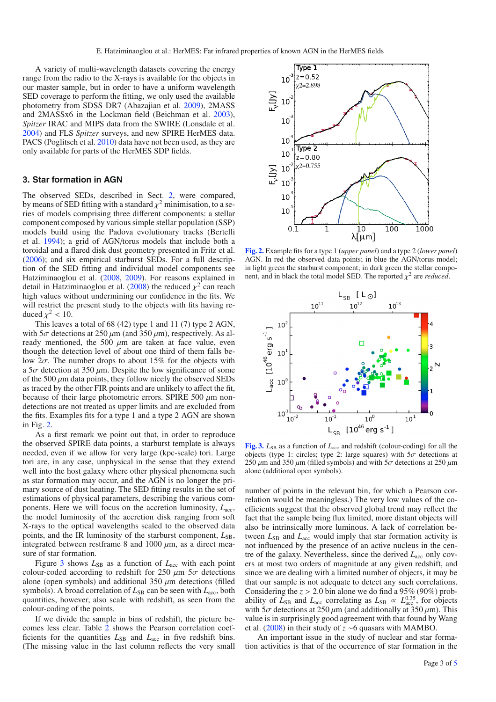A variety of multi-wavelength datasets covering the energy range from the radio to the X-rays is available for the objects in our master sample, but in order to have a uniform wavelength SED coverage to perform the fitting, we only used the available photometry from SDSS DR7 (Abazajian et al. [2009\)](#page-3-21), 2MASS and 2MASSx6 in the Lockman field (Beichman et al. [2003\)](#page-3-22), *Spitzer* IRAC and MIPS data from the SWIRE (Lonsdale et al. [2004\)](#page-3-23) and FLS *Spitzer* surveys, and new SPIRE HerMES data. PACS (Poglitsch et al. [2010\)](#page-3-24) data have not been used, as they are only available for parts of the HerMES SDP fields.

## **3. Star formation in AGN**

The observed SEDs, described in Sect. [2,](#page-1-2) were compared, by means of SED fitting with a standard  $\chi^2$  minimisation, to a series of models comprising three different components: a stellar component composed by various simple stellar population (SSP) models build using the Padova evolutionary tracks (Bertelli et al. [1994\)](#page-3-25); a grid of AGN/torus models that include both a toroidal and a flared disk dust geometry presented in Fritz et al. [\(2006\)](#page-3-26); and six empirical starburst SEDs. For a full description of the SED fitting and individual model components see Hatziminaoglou et al. [\(2008,](#page-3-6) [2009\)](#page-3-7). For reasons explained in detail in Hatziminaoglou et al. [\(2008\)](#page-3-6) the reduced  $\chi^2$  can reach high values without undermining our confidence in the fits. We will restrict the present study to the objects with fits having reduced  $\chi^2$  < 10.

This leaves a total of 68 (42) type 1 and 11 (7) type 2 AGN, with  $5\sigma$  detections at  $250 \mu m$  (and  $350 \mu m$ ), respectively. As already mentioned, the 500  $\mu$ m are taken at face value, even though the detection level of about one third of them falls below  $2\sigma$ . The number drops to about 15% for the objects with a  $5\sigma$  detection at  $350 \mu$ m. Despite the low significance of some of the 500  $\mu$ m data points, they follow nicely the observed SEDs as traced by the other FIR points and are unlikely to affect the fit, because of their large photometric errors. SPIRE 500  $\mu$ m nondetections are not treated as upper limits and are excluded from the fits. Examples fits for a type 1 and a type 2 AGN are shown in Fig. [2.](#page-2-0)

As a first remark we point out that, in order to reproduce the observed SPIRE data points, a starburst template is always needed, even if we allow for very large (kpc-scale) tori. Large tori are, in any case, unphysical in the sense that they extend well into the host galaxy where other physical phenomena such as star formation may occur, and the AGN is no longer the primary source of dust heating. The SED fitting results in the set of estimations of physical parameters, describing the various components. Here we will focus on the accretion luminosity,  $L_{\text{acc}}$ , the model luminosity of the accretion disk ranging from soft X-rays to the optical wavelengths scaled to the observed data points, and the IR luminosity of the starburst component,  $L_{\text{SB}}$ , integrated between restframe 8 and 1000  $\mu$ m, as a direct measure of star formation.

Figure [3](#page-2-1) shows  $L_{SB}$  as a function of  $L_{acc}$  with each point colour-coded according to redshift for 250  $\mu$ m 5 $\sigma$  detections alone (open symbols) and additional 350  $\mu$ m detections (filled symbols). A broad correlation of  $L_{SB}$  can be seen with  $L_{acc}$ , both quantities, however, also scale with redshift, as seen from the colour-coding of the points.

If we divide the sample in bins of redshift, the picture becomes less clear. Table [2](#page-3-27) shows the Pearson correlation coefficients for the quantities  $L_{SB}$  and  $L_{acc}$  in five redshift bins. (The missing value in the last column reflects the very small

<span id="page-2-0"></span>

**[Fig. 2.](http://dexter.edpsciences.org/applet.php?DOI=10.1051/0004-6361/201014679&pdf_id=2)** Example fits for a type 1 (*upper panel*) and a type 2 (*lower panel*) AGN. In red the observed data points; in blue the AGN/torus model; in light green the starburst component; in dark green the stellar component, and in black the total model SED. The reported  $\chi^2$  are *reduced*.

<span id="page-2-1"></span>

**[Fig. 3.](http://dexter.edpsciences.org/applet.php?DOI=10.1051/0004-6361/201014679&pdf_id=3)**  $L_{SB}$  as a function of  $L_{acc}$  and redshift (colour-coding) for all the objects (type 1: circles; type 2: large squares) with  $5\sigma$  detections at 250  $\mu$ m and 350  $\mu$ m (filled symbols) and with 5 $\sigma$  detections at 250  $\mu$ m alone (additional open symbols).

number of points in the relevant bin, for which a Pearson correlation would be meaningless.) The very low values of the coefficients suggest that the observed global trend may reflect the fact that the sample being flux limited, more distant objects will also be intrinsically more luminous. A lack of correlation between  $L_{SB}$  and  $L_{acc}$  would imply that star formation activity is not influenced by the presence of an active nucleus in the centre of the galaxy. Nevertheless, since the derived *L*acc only covers at most two orders of magnitude at any given redshift, and since we are dealing with a limited number of objects, it may be that our sample is not adequate to detect any such correlations. Considering the *z* > 2.0 bin alone we do find a 95% (90%) probability of  $L_{SB}$  and  $L_{acc}$  correlating as  $L_{SB} \propto L_{acc}^{0.35}$ , for objects with  $5\sigma$  detections at 250  $\mu$ m (and additionally at 350  $\mu$ m). This value is in surprisingly good agreement with that found by Wang et al. [\(2008\)](#page-3-28) in their study of *z* ∼6 quasars with MAMBO.

An important issue in the study of nuclear and star formation activities is that of the occurrence of star formation in the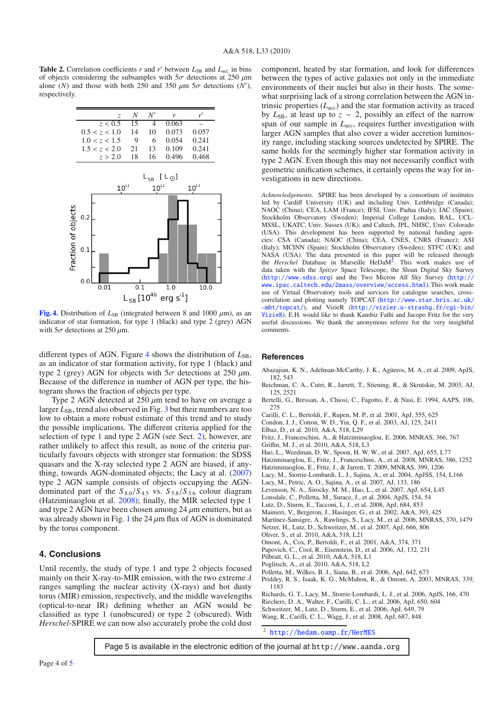<span id="page-3-27"></span>**Table 2.** Correlation coefficients *r* and *r'* between  $L_{SR}$  and  $L_{acc}$  in bins of objects considering the subsamples with  $5\sigma$  detections at 250  $\mu$ m alone (*N*) and those with both 250 and 350  $\mu$ m 5 $\sigma$  detections (*N'*), respectively respectively.

<span id="page-3-29"></span>

**[Fig. 4.](http://dexter.edpsciences.org/applet.php?DOI=10.1051/0004-6361/201014679&pdf_id=4)** Distribution of  $L_{SB}$  (integrated between 8 and 1000  $\mu$ m), as an indicator of star formation, for type 1 (black) and type 2 (grey) AGN with  $5\sigma$  detections at 250  $\mu$ m.

different types of AGN. Figure  $4$  shows the distribution of  $L_{SB}$ , as an indicator of star formation activity, for type 1 (black) and type 2 (grey) AGN for objects with  $5\sigma$  detections at 250  $\mu$ m. Because of the difference in number of AGN per type, the histogram shows the fraction of objects per type.

Type 2 AGN detected at  $250 \mu m$  tend to have on average a larger  $L_{SB}$ , trend also observed in Fig.  $3$  but their numbers are too low to obtain a more robust estimate of this trend and to study the possible implications. The different criteria applied for the selection of type 1 and type 2 AGN (see Sect. [2\)](#page-1-2), however, are rather unlikely to affect this result, as none of the criteria particularly favours objects with stronger star formation: the SDSS quasars and the X-ray selected type 2 AGN are biased, if anything, towards AGN-dominated objects; the Lacy at al. [\(2007\)](#page-3-9) type 2 AGN sample consists of objects occupying the AGNdominated part of the  $S_{8.0}/S_{4.5}$  vs.  $S_{5.8}/S_{3.6}$  colour diagram (Hatziminaoglou et al. [2008\)](#page-3-6); finally, the MIR selected type 1 and type 2 AGN have been chosen among  $24 \mu$ m emitters, but as was already shown in Fig. [1](#page-1-1) the 24  $\mu$ m flux of AGN is dominated by the torus component.

### **4. Conclusions**

Until recently, the study of type 1 and type 2 objects focused mainly on their X-ray-to-MIR emission, with the two extreme  $\lambda$ ranges sampling the nuclear activity (X-rays) and hot dusty torus (MIR) emission, respectively, and the middle wavelengths (optical-to-near IR) defining whether an AGN would be classified as type 1 (unobscured) or type 2 (obscured). With *Herschel*-SPIRE we can now also accurately probe the cold dust

component, heated by star formation, and look for differences between the types of active galaxies not only in the immediate environments of their nuclei but also in their hosts. The somewhat surprising lack of a strong correlation between the AGN intrinsic properties (*L*acc) and the star formation activity as traced by  $L_{SB}$ , at least up to  $z \sim 2$ , possibly an effect of the narrow span of our sample in  $L_{\text{acc}}$ , requires further investigation with larger AGN samples that also cover a wider accretion luminosity range, including stacking sources undetected by SPIRE. The same holds for the seemingly higher star formation activity in type 2 AGN. Even though this may not necessarily conflict with geometric unification schemes, it certainly opens the way for investigations in new directions.

<span id="page-3-22"></span><span id="page-3-21"></span>*Acknowledgements.* SPIRE has been developed by a consortium of institutes led by Cardiff University (UK) and including Univ. Lethbridge (Canada); NAOC (China); CEA, LAM (France); IFSI, Univ. Padua (Italy); IAC (Spain); Stockholm Observatory (Sweden); Imperial College London, RAL, UCL-MSSL, UKATC, Univ. Sussex (UK); and Caltech, JPL, NHSC, Univ. Colorado (USA). This development has been supported by national funding agencies: CSA (Canada); NAOC (China); CEA, CNES, CNRS (France); ASI (Italy); MCINN (Spain); Stockholm Observatory (Sweden); STFC (UK); and NASA (USA). The data presented in this paper will be released through the *Herschel* Database in Marseille HeDa[M2.](#page-3-30) This work makes use of data taken with the *Spitzer* Space Telescope, the Sloan Digital Sky Survey (<http://www.sdss.org>) and the Two Micron All Sky Survey ([http://](http://www.ipac.caltech.edu/2mass/overview/access.html) [www.ipac.caltech.edu/2mass/overview/access.html](http://www.ipac.caltech.edu/2mass/overview/access.html)). This work made use of Virtual Observatory tools and services for catalogue searches, crosscorrelation and plotting namely TOPCAT ([http://www.star.bris.ac.uk/](http://www.star.bris.ac.uk/~mbt/topcat/) [~mbt/topcat/](http://www.star.bris.ac.uk/~mbt/topcat/)), and VizieR ([http://vizier.u-strasbg.fr/cgi-bin/](http://vizier.u-strasbg.fr/cgi-bin/VizieR) [VizieR](http://vizier.u-strasbg.fr/cgi-bin/VizieR)). E.H. would like to thank Kambiz Fathi and Jacopo Fritz for the very useful discussions. We thank the anonymous referee for the very insightful comments.

#### <span id="page-3-26"></span><span id="page-3-25"></span><span id="page-3-15"></span><span id="page-3-14"></span><span id="page-3-9"></span><span id="page-3-7"></span><span id="page-3-6"></span><span id="page-3-4"></span><span id="page-3-2"></span>**References**

- <span id="page-3-23"></span><span id="page-3-3"></span>Abazajian, K. N., Adelman-McCarthy, J. K., Agüeros, M. A., et al. 2009, ApJS, 182, 543
- <span id="page-3-19"></span><span id="page-3-12"></span>Beichman, C. A., Cutri, R., Jarrett, T., Stiening, R., & Skrutskie, M. 2003, AJ, 125, 2521
- <span id="page-3-18"></span><span id="page-3-10"></span>Bertelli, G., Bressan, A., Chiosi, C., Fagotto, F., & Nasi, E. 1994, AAPS, 106, 275
- <span id="page-3-13"></span>Carilli, C. L., Bertoldi, F., Rupen, M. P., et al. 2001, ApJ, 555, 625
- <span id="page-3-16"></span>Condon, J. J., Cotton, W. D., Yin, Q. F., et al. 2003, AJ, 125, 2411
- <span id="page-3-8"></span>Elbaz, D., et al. 2010, A&A, 518, L29
- <span id="page-3-0"></span>Fritz, J., Franceschini, A., & Hatziminaoglou, E. 2006, MNRAS, 366, 767
- <span id="page-3-24"></span>Griffin, M. J., et al. 2010, A&A, 518, L3
- <span id="page-3-11"></span>Hao, L., Weedman, D. W., Spoon, H. W. W., et al. 2007, ApJ, 655, L77
- <span id="page-3-17"></span>Hatziminaoglou, E., Fritz, J., Franceschini, A., et al. 2008, MNRAS, 386, 1252 Hatziminaoglou, E., Fritz, J., & Jarrett, T. 2009, MNRAS, 399, 1206
- <span id="page-3-5"></span>Lacy, M., Storrie-Lombardi, L. J., Sajina, A., et al. 2004, ApJSS, 154, L166
- Lacy, M., Petric, A. O., Sajina, A., et al. 2007, AJ, 133, 186
- <span id="page-3-20"></span>Levenson, N. A., Sirocky, M. M., Hao, L., et al. 2007, ApJ, 654, L45
- <span id="page-3-28"></span><span id="page-3-1"></span>Lonsdale, C., Polletta, M., Surace, J., et al. 2004, ApJS, 154, 54
- Lutz, D., Sturm, E., Tacconi, L. J., et al. 2008, ApJ, 684, 853
- <span id="page-3-30"></span>Mainieri, V., Bergeron, J., Hasinger, G., et al. 2002, A&A, 393, 425
- Martínez-Sansigre, A., Rawlings, S., Lacy, M., et al. 2006, MNRAS, 370, 1479
- Netzer, H., Lutz, D., Schweitzer, M., et al. 2007, ApJ, 666, 806
- Oliver, S., et al. 2010, A&A, 518, L21
- Omont, A., Cox, P., Bertoldi, F., et al. 2001, A&A, 374, 371
- Papovich, C., Cool, R., Eisenstein, D., et al. 2006, AJ, 132, 231
- Pilbratt, G. L., et al. 2010, A&A, 518, L1
- Poglitsch, A., et al. 2010, A&A, 518, L2
- Polletta, M., Wilkes, B. J., Siana, B., et al. 2006, ApJ, 642, 673
- Priddey, R. S., Isaak, K. G., McMahon, R., & Omont, A. 2003, MNRAS, 339, 1183

Richards, G. T., Lacy, M., Storrie-Lombardi, L. J., et al. 2006, ApJS, 166, 470 Riechers, D. A., Walter, F., Carilli, C. L., et al. 2006, ApJ, 650, 604 Schweitzer, M., Lutz, D., Sturm, E., et al. 2006, ApJ, 649, 79

Wang, R., Carilli, C. L., Wagg, J., et al. 2008, ApJ, 687, 848

<sup>2</sup> <http://hedam.oamp.fr/HerMES>

Page 5 is available in the electronic edition of the journal at http://www.aanda.org